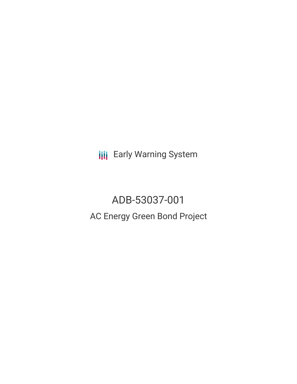**III** Early Warning System

ADB-53037-001 AC Energy Green Bond Project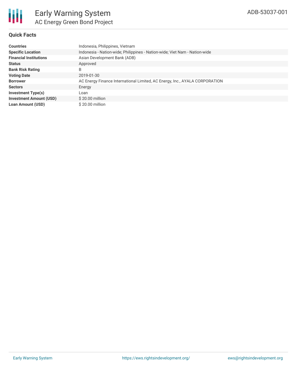

# **Quick Facts**

| <b>Countries</b>               | Indonesia, Philippines, Vietnam                                             |
|--------------------------------|-----------------------------------------------------------------------------|
| <b>Specific Location</b>       | Indonesia - Nation-wide; Philippines - Nation-wide; Viet Nam - Nation-wide  |
| <b>Financial Institutions</b>  | Asian Development Bank (ADB)                                                |
| <b>Status</b>                  | Approved                                                                    |
| <b>Bank Risk Rating</b>        | B                                                                           |
| <b>Voting Date</b>             | 2019-01-30                                                                  |
| <b>Borrower</b>                | AC Energy Finance International Limited, AC Energy, Inc., AYALA CORPORATION |
| <b>Sectors</b>                 | Energy                                                                      |
| <b>Investment Type(s)</b>      | Loan                                                                        |
| <b>Investment Amount (USD)</b> | $$20.00$ million                                                            |
| <b>Loan Amount (USD)</b>       | \$20.00 million                                                             |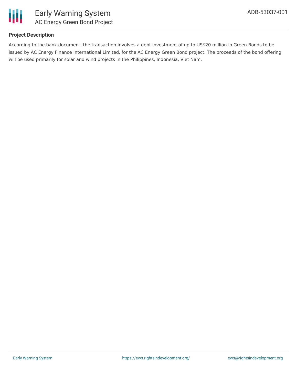

# **Project Description**

According to the bank document, the transaction involves a debt investment of up to US\$20 million in Green Bonds to be issued by AC Energy Finance International Limited, for the AC Energy Green Bond project. The proceeds of the bond offering will be used primarily for solar and wind projects in the Philippines, Indonesia, Viet Nam.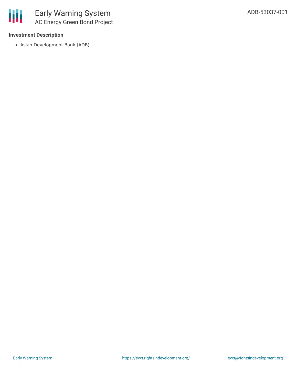### **Investment Description**

Asian Development Bank (ADB)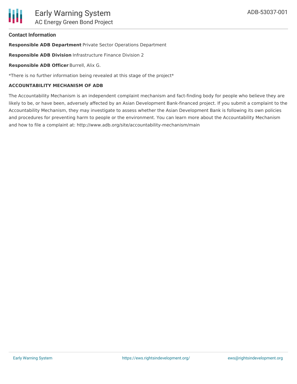### **Contact Information**

**Responsible ADB Department** Private Sector Operations Department

**Responsible ADB Division** Infrastructure Finance Division 2

**Responsible ADB Officer** Burrell, Alix G.

\*There is no further information being revealed at this stage of the project\*

#### **ACCOUNTABILITY MECHANISM OF ADB**

The Accountability Mechanism is an independent complaint mechanism and fact-finding body for people who believe they are likely to be, or have been, adversely affected by an Asian Development Bank-financed project. If you submit a complaint to the Accountability Mechanism, they may investigate to assess whether the Asian Development Bank is following its own policies and procedures for preventing harm to people or the environment. You can learn more about the Accountability Mechanism and how to file a complaint at: http://www.adb.org/site/accountability-mechanism/main